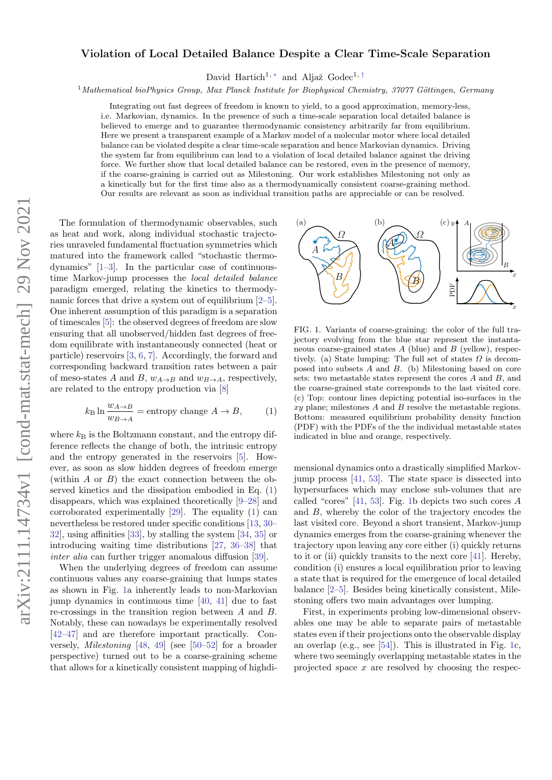## Violation of Local Detailed Balance Despite a Clear Time-Scale Separation

David Hartich<sup>1, \*</sup> and Aljaž Godec<sup>1, [†](#page-4-1)</sup>

 $1$ Mathematical bioPhysics Group, Max Planck Institute for Biophysical Chemistry, 37077 Göttingen, Germany

Integrating out fast degrees of freedom is known to yield, to a good approximation, memory-less, i.e. Markovian, dynamics. In the presence of such a time-scale separation local detailed balance is believed to emerge and to guarantee thermodynamic consistency arbitrarily far from equilibrium. Here we present a transparent example of a Markov model of a molecular motor where local detailed balance can be violated despite a clear time-scale separation and hence Markovian dynamics. Driving the system far from equilibrium can lead to a violation of local detailed balance against the driving force. We further show that local detailed balance can be restored, even in the presence of memory, if the coarse-graining is carried out as Milestoning. Our work establishes Milestoning not only as a kinetically but for the first time also as a thermodynamically consistent coarse-graining method. Our results are relevant as soon as individual transition paths are appreciable or can be resolved.

The formulation of thermodynamic observables, such as heat and work, along individual stochastic trajectories unraveled fundamental fluctuation symmetries which matured into the framework called "stochastic thermodynamics" [\[1–](#page-4-2)[3\]](#page-4-3). In the particular case of continuoustime Markov-jump processes the local detailed balance paradigm emerged, relating the kinetics to thermodynamic forces that drive a system out of equilibrium [\[2–](#page-4-4)[5\]](#page-4-5). One inherent assumption of this paradigm is a separation of timescales [\[5\]](#page-4-5): the observed degrees of freedom are slow ensuring that all unobserved/hidden fast degrees of freedom equilibrate with instantaneously connected (heat or particle) reservoirs [\[3,](#page-4-3) [6,](#page-4-6) [7\]](#page-4-7). Accordingly, the forward and corresponding backward transition rates between a pair of meso-states A and B,  $w_{A\rightarrow B}$  and  $w_{B\rightarrow A}$ , respectively, are related to the entropy production via [\[8\]](#page-4-8)

<span id="page-0-0"></span>
$$
k_{\rm B} \ln \frac{w_{A \to B}}{w_{B \to A}} = \text{entropy change } A \to B,
$$
 (1)

where  $k_B$  is the Boltzmann constant, and the entropy difference reflects the change of both, the intrinsic entropy and the entropy generated in the reservoirs [\[5\]](#page-4-5). However, as soon as slow hidden degrees of freedom emerge (within A or B) the exact connection between the observed kinetics and the dissipation embodied in Eq. [\(1\)](#page-0-0) disappears, which was explained theoretically [\[9–](#page-4-9)[28\]](#page-4-10) and corroborated experimentally [\[29\]](#page-4-11). The equality [\(1\)](#page-0-0) can nevertheless be restored under specific conditions [\[13,](#page-4-12) [30–](#page-4-13) [32\]](#page-4-14), using affinities [\[33\]](#page-4-15), by stalling the system [\[34,](#page-4-16) [35\]](#page-4-17) or introducing waiting time distributions [\[27,](#page-4-18) [36](#page-4-19)[–38\]](#page-5-0) that inter alia can further trigger anomalous diffusion [\[39\]](#page-5-1).

When the underlying degrees of freedom can assume continuous values any coarse-graining that lumps states as shown in Fig. [1a](#page-0-1) inherently leads to non-Markovian jump dynamics in continuous time [\[40,](#page-5-2) [41\]](#page-5-3) due to fast re-crossings in the transition region between A and B. Notably, these can nowadays be experimentally resolved [\[42–](#page-5-4)[47\]](#page-5-5) and are therefore important practically. Conversely, Milestoning [\[48,](#page-5-6) [49\]](#page-5-7) (see [\[50–](#page-5-8)[52\]](#page-5-9) for a broader perspective) turned out to be a coarse-graining scheme that allows for a kinetically consistent mapping of highdi-



<span id="page-0-1"></span>FIG. 1. Variants of coarse-graining: the color of the full trajectory evolving from the blue star represent the instantaneous coarse-grained states  $A$  (blue) and  $B$  (yellow), respectively. (a) State lumping: The full set of states  $\Omega$  is decomposed into subsets A and B. (b) Milestoning based on core sets: two metastable states represent the cores A and B, and the coarse-grained state corresponds to the last visited core. (c) Top: contour lines depicting potential iso-surfaces in the  $xy$  plane; milestones  $A$  and  $B$  resolve the metastable regions. Bottom: measured equilibrium probability density function (PDF) with the PDFs of the the individual metastable states indicated in blue and orange, respectively.

mensional dynamics onto a drastically simplified Markovjump process [\[41,](#page-5-3) [53\]](#page-5-10). The state space is dissected into hypersurfaces which may enclose sub-volumes that are called "cores" [\[41,](#page-5-3) [53\]](#page-5-10). Fig. [1b](#page-0-1) depicts two such cores A and B, whereby the color of the trajectory encodes the last visited core. Beyond a short transient, Markov-jump dynamics emerges from the coarse-graining whenever the trajectory upon leaving any core either (i) quickly returns to it or (ii) quickly transits to the next core [\[41\]](#page-5-3). Hereby, condition (i) ensures a local equilibration prior to leaving a state that is required for the emergence of local detailed balance [\[2–](#page-4-4)[5\]](#page-4-5). Besides being kinetically consistent, Milestoning offers two main advantages over lumping.

First, in experiments probing low-dimensional observables one may be able to separate pairs of metastable states even if their projections onto the observable display an overlap (e.g., see [\[54\]](#page-5-11)). This is illustrated in Fig. [1c](#page-0-1), where two seemingly overlapping metastable states in the projected space  $x$  are resolved by choosing the respec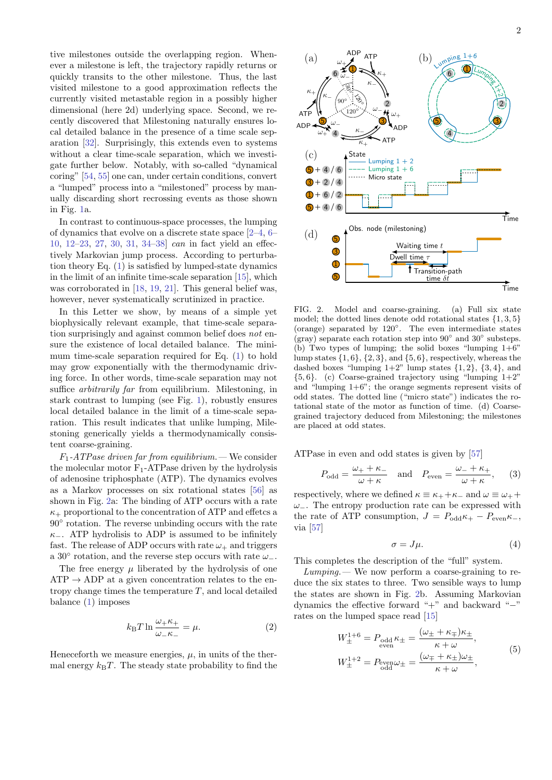tive milestones outside the overlapping region. Whenever a milestone is left, the trajectory rapidly returns or quickly transits to the other milestone. Thus, the last visited milestone to a good approximation reflects the currently visited metastable region in a possibly higher dimensional (here 2d) underlying space. Second, we recently discovered that Milestoning naturally ensures local detailed balance in the presence of a time scale separation [\[32\]](#page-4-14). Surprisingly, this extends even to systems without a clear time-scale separation, which we investigate further below. Notably, with so-called "dynamical coring" [\[54,](#page-5-11) [55\]](#page-5-12) one can, under certain conditions, convert a "lumped" process into a "milestoned" process by manually discarding short recrossing events as those shown in Fig. [1a](#page-0-1).

In contrast to continuous-space processes, the lumping of dynamics that evolve on a discrete state space [\[2–](#page-4-4)[4,](#page-4-20) [6–](#page-4-6) [10,](#page-4-21) [12–](#page-4-22)[23,](#page-4-23) [27,](#page-4-18) [30,](#page-4-13) [31,](#page-4-24) [34–](#page-4-16)[38\]](#page-5-0) can in fact yield an effectively Markovian jump process. According to perturbation theory Eq. [\(1\)](#page-0-0) is satisfied by lumped-state dynamics in the limit of an infinite time-scale separation [\[15\]](#page-4-25), which was corroborated in [\[18,](#page-4-26) [19,](#page-4-27) [21\]](#page-4-28). This general belief was, however, never systematically scrutinized in practice.

In this Letter we show, by means of a simple yet biophysically relevant example, that time-scale separation surprisingly and against common belief does not ensure the existence of local detailed balance. The minimum time-scale separation required for Eq. [\(1\)](#page-0-0) to hold may grow exponentially with the thermodynamic driving force. In other words, time-scale separation may not suffice *arbitrarily far* from equilibrium. Milestoning, in stark contrast to lumping (see Fig. [1\)](#page-0-1), robustly ensures local detailed balance in the limit of a time-scale separation. This result indicates that unlike lumping, Milestoning generically yields a thermodynamically consistent coarse-graining.

 $F_1$ -ATPase driven far from equilibrium.— We consider the molecular motor  $F_1$ -ATPase driven by the hydrolysis of adenosine triphosphate (ATP). The dynamics evolves as a Markov processes on six rotational states [\[56\]](#page-5-13) as shown in Fig. [2a](#page-1-0): The binding of ATP occurs with a rate  $\kappa_{+}$  proportional to the concentration of ATP and effetcs a 90◦ rotation. The reverse unbinding occurs with the rate  $\kappa$ <sub>−</sub>. ATP hydrolisis to ADP is assumed to be infinitely fast. The release of ADP occurs with rate  $\omega_{+}$  and triggers a 30 $^{\circ}$  rotation, and the reverse step occurs with rate  $\omega_{-}$ .

The free energy  $\mu$  liberated by the hydrolysis of one  $ATP \rightarrow ADP$  at a given concentration relates to the entropy change times the temperature  $T$ , and local detailed balance [\(1\)](#page-0-0) imposes

<span id="page-1-2"></span>
$$
k_{\rm B}T\ln\frac{\omega_{+}\kappa_{+}}{\omega_{-}\kappa_{-}}=\mu.\tag{2}
$$

Heneceforth we measure energies,  $\mu$ , in units of the thermal energy  $k_BT$ . The steady state probability to find the



<span id="page-1-0"></span>FIG. 2. Model and coarse-graining. (a) Full six state model; the dotted lines denote odd rotational states  $\{1, 3, 5\}$ (orange) separated by 120◦ . The even intermediate states (gray) separate each rotation step into  $90^{\circ}$  and  $30^{\circ}$  substeps. (b) Two types of lumping; the solid boxes "lumping  $1+6$ " lump states  $\{1, 6\}$ ,  $\{2, 3\}$ , and  $\{5, 6\}$ , respectively, whereas the dashed boxes "lumping  $1+2$ " lump states  $\{1, 2\}$ ,  $\{3, 4\}$ , and  $\{5, 6\}$ . (c) Coarse-grained trajectory using "lumping  $1+2$ " and "lumping  $1+6$ "; the orange segments represent visits of odd states. The dotted line ("micro state") indicates the rotational state of the motor as function of time. (d) Coarsegrained trajectory deduced from Milestoning; the milestones are placed at odd states.

ATPase in even and odd states is given by [\[57\]](#page-5-14)

$$
P_{\text{odd}} = \frac{\omega_{+} + \kappa_{-}}{\omega + \kappa} \quad \text{and} \quad P_{\text{even}} = \frac{\omega_{-} + \kappa_{+}}{\omega + \kappa}, \quad (3)
$$

respectively, where we defined  $\kappa \equiv \kappa_+ + \kappa_-$  and  $\omega \equiv \omega_+ + \omega_ \omega_$ . The entropy production rate can be expressed with the rate of ATP consumption,  $J = P_{odd} \kappa_+ - P_{even} \kappa_-,$ via [\[57\]](#page-5-14)

<span id="page-1-1"></span>
$$
\sigma = J\mu. \tag{4}
$$

This completes the description of the "full" system.

 $Lumping$ . We now perform a coarse-graining to reduce the six states to three. Two sensible ways to lump the states are shown in Fig. [2b](#page-1-0). Assuming Markovian dynamics the effective forward "+" and backward "−" rates on the lumped space read [\[15\]](#page-4-25)

$$
W_{\pm}^{1+6} = P_{\text{odd}} \kappa_{\pm} = \frac{(\omega_{\pm} + \kappa_{\mp})\kappa_{\pm}}{\kappa + \omega},
$$
  
\n
$$
W_{\pm}^{1+2} = P_{\text{even}} \omega_{\pm} = \frac{(\omega_{\mp} + \kappa_{\pm})\omega_{\pm}}{\kappa + \omega},
$$
\n(5)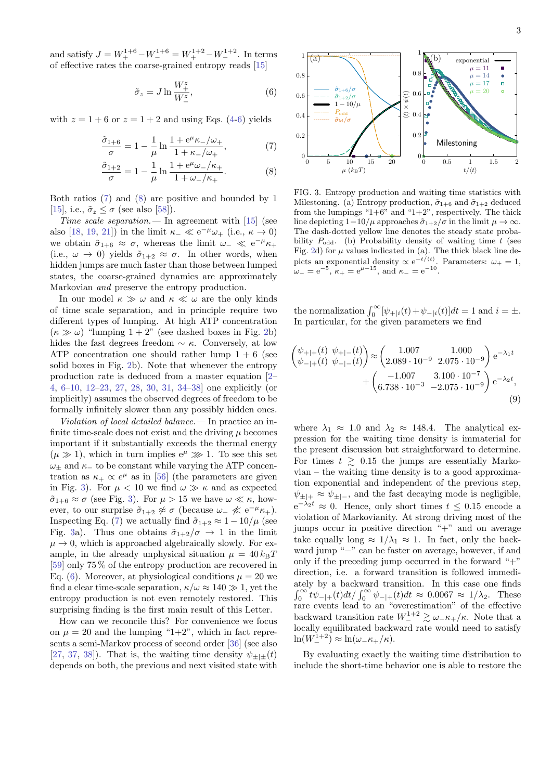and satisfy  $J = W_+^{1+6} - W_-^{1+6} = W_+^{1+2} - W_-^{1+2}$ . In terms of effective rates the coarse-grained entropy reads [\[15\]](#page-4-25)

<span id="page-2-0"></span>
$$
\tilde{\sigma}_z = J \ln \frac{W^z_+}{W^z_-},\tag{6}
$$

with  $z = 1 + 6$  or  $z = 1 + 2$  and using Eqs. [\(4-](#page-1-1)[6\)](#page-2-0) yields

$$
\frac{\tilde{\sigma}_{1+6}}{\sigma} = 1 - \frac{1}{\mu} \ln \frac{1 + e^{\mu} \kappa_{-}/\omega_{+}}{1 + \kappa_{-}/\omega_{+}},\tag{7}
$$

$$
\frac{\tilde{\sigma}_{1+2}}{\sigma} = 1 - \frac{1}{\mu} \ln \frac{1 + e^{\mu} \omega_- / \kappa_+}{1 + \omega_- / \kappa_+}.
$$
 (8)

Both ratios [\(7\)](#page-2-1) and [\(8\)](#page-2-2) are positive and bounded by 1 [\[15\]](#page-4-25), i.e.,  $\tilde{\sigma}_z \leq \sigma$  (see also [\[58\]](#page-5-15)).

Time scale separation.  $\overline{\phantom{a}}$  In agreement with [\[15\]](#page-4-25) (see also [\[18,](#page-4-26) [19,](#page-4-27) [21\]](#page-4-28)) in the limit  $\kappa_-\ll e^{-\mu}\omega_+$  (i.e.,  $\kappa\to 0$ ) we obtain  $\tilde{\sigma}_{1+6} \approx \sigma$ , whereas the limit  $\omega_- \ll e^{-\mu} \kappa_+$ (i.e.,  $\omega \to 0$ ) yields  $\tilde{\sigma}_{1+2} \approx \sigma$ . In other words, when hidden jumps are much faster than those between lumped states, the coarse-grained dynamics are approximately Markovian and preserve the entropy production.

In our model  $\kappa \gg \omega$  and  $\kappa \ll \omega$  are the only kinds of time scale separation, and in principle require two different types of lumping. At high ATP concentration  $(\kappa \gg \omega)$  "lumping  $1 + 2$ " (see dashed boxes in Fig. [2b](#page-1-0)) hides the fast degrees freedom  $\sim \kappa$ . Conversely, at low ATP concentration one should rather lump  $1 + 6$  (see solid boxes in Fig. [2b](#page-1-0)). Note that whenever the entropy production rate is deduced from a master equation [\[2–](#page-4-4) [4,](#page-4-20) [6–](#page-4-6)[10,](#page-4-21) [12–](#page-4-22)[23,](#page-4-23) [27,](#page-4-18) [28,](#page-4-10) [30,](#page-4-13) [31,](#page-4-24) [34–](#page-4-16)[38\]](#page-5-0) one explicitly (or implicitly) assumes the observed degrees of freedom to be formally infinitely slower than any possibly hidden ones.

Violation of local detailed balance.— In practice an infinite time-scale does not exist and the driving  $\mu$  becomes important if it substantially exceeds the thermal energy  $(\mu \gg 1)$ , which in turn implies  $e^{\mu} \gg 1$ . To see this set  $\omega_{\pm}$  and  $\kappa_{-}$  to be constant while varying the ATP concentration as  $\kappa_+ \propto e^{\mu}$  as in [\[56\]](#page-5-13) (the parameters are given in Fig. [3\)](#page-2-3). For  $\mu < 10$  we find  $\omega \gg \kappa$  and as expected  $\tilde{\sigma}_{1+6} \approx \sigma$  (see Fig. [3\)](#page-2-3). For  $\mu > 15$  we have  $\omega \ll \kappa$ , however, to our surprise  $\tilde{\sigma}_{1+2} \not\approx \sigma$  (because  $\omega_- \not\ll e^{-\mu} \kappa_+$ ). Inspecting Eq. [\(7\)](#page-2-1) we actually find  $\tilde{\sigma}_{1+2} \approx 1 - 10/\mu$  (see Fig. [3a](#page-2-3)). Thus one obtains  $\tilde{\sigma}_{1+2}/\sigma \rightarrow 1$  in the limit  $\mu \rightarrow 0$ , which is approached algebraically slowly. For example, in the already unphysical situation  $\mu = 40 k_{\rm B}T$ [\[59\]](#page-5-16) only 75 % of the entropy production are recovered in Eq. [\(6\)](#page-2-0). Moreover, at physiological conditions  $\mu = 20$  we find a clear time-scale separation,  $\kappa/\omega \approx 140 \gg 1$ , yet the entropy production is not even remotely restored. This surprising finding is the first main result of this Letter.

How can we reconcile this? For convenience we focus on  $\mu = 20$  and the lumping "1+2", which in fact represents a semi-Markov process of second order [\[36\]](#page-4-19) (see also [\[27,](#page-4-18) [37,](#page-5-17) [38\]](#page-5-0)). That is, the waiting time density  $\psi_{++}(t)$ depends on both, the previous and next visited state with



<span id="page-2-3"></span><span id="page-2-2"></span><span id="page-2-1"></span>FIG. 3. Entropy production and waiting time statistics with Milestoning. (a) Entropy production,  $\tilde{\sigma}_{1+6}$  and  $\tilde{\sigma}_{1+2}$  deduced from the lumpings " $1+6$ " and " $1+2$ ", respectively. The thick line depicting  $1-\frac{10}{\mu}$  approaches  $\tilde{\sigma}_{1+2}/\sigma$  in the limit  $\mu \to \infty$ . The dash-dotted yellow line denotes the steady state probability  $P_{odd}$ . (b) Probability density of waiting time t (see Fig. [2d](#page-1-0)) for  $\mu$  values indicated in (a). The thick black line depicts an exponential density  $\propto e^{-t/\langle t \rangle}$ . Parameters:  $\omega_+ = 1$ ,  $\omega_{-} = e^{-5}$ ,  $\kappa_{+} = e^{\mu - 15}$ , and  $\kappa_{-} = e^{-10}$ .

the normalization  $\int_0^\infty [\psi_{+|i}(t)+\psi_{-|i}(t)]dt = 1$  and  $i = \pm$ . In particular, for the given parameters we find

$$
\begin{pmatrix}\n\psi_{+|+}(t) & \psi_{+|-}(t) \\
\psi_{-|+}(t) & \psi_{-|-}(t)\n\end{pmatrix} \approx\n\begin{pmatrix}\n1.007 & 1.000 \\
2.089 \cdot 10^{-9} & 2.075 \cdot 10^{-9}\n\end{pmatrix} e^{-\lambda_1 t}\n+\n\begin{pmatrix}\n-1.007 & 3.100 \cdot 10^{-7} \\
6.738 \cdot 10^{-3} & -2.075 \cdot 10^{-9}\n\end{pmatrix} e^{-\lambda_2 t},
$$
\n(9)

<span id="page-2-4"></span>where  $\lambda_1 \approx 1.0$  and  $\lambda_2 \approx 148.4$ . The analytical expression for the waiting time density is immaterial for the present discussion but straightforward to determine. For times  $t \geq 0.15$  the jumps are essentially Markovian – the waiting time density is to a good approximation exponential and independent of the previous step,  $\psi_{\pm|\pm} \approx \psi_{\pm|\pm}$ , and the fast decaying mode is negligible,  $e^{-\lambda_2 t} \approx 0$ . Hence, only short times  $t \leq 0.15$  encode a violation of Markovianity. At strong driving most of the jumps occur in positive direction "+" and on average take equally long  $\approx 1/\lambda_1 \approx 1$ . In fact, only the backward jump "−" can be faster on average, however, if and only if the preceding jump occurred in the forward " $+$ " direction, i.e. a forward transition is followed immediately by a backward transition. In this case one finds  $\int_0^\infty t\psi_{-|+}(t)dt/\int_0^\infty \psi_{-|+}(t)dt \approx 0.0067 \approx 1/\lambda_2$ . These rare events lead to an "overestimation" of the effective backward transition rate  $W_{-}^{1+2} \gtrsim \omega_{-} \kappa_{+}/\kappa$ . Note that a locally equilibrated backward rate would need to satisfy  $\ln(W_{-}^{1+2}) \approx \ln(\omega_{-} \kappa_{+}/\kappa).$ 

By evaluating exactly the waiting time distribution to include the short-time behavior one is able to restore the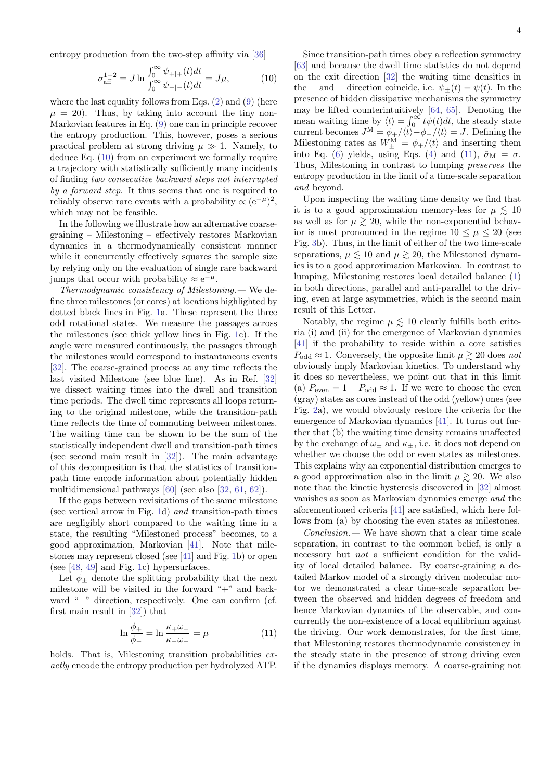entropy production from the two-step affinity via [\[36\]](#page-4-19)

<span id="page-3-0"></span>
$$
\sigma_{\text{aff}}^{1+2} = J \ln \frac{\int_0^\infty \psi_{+|+}(t)dt}{\int_0^\infty \psi_{-|-}(t)dt} = J\mu,\tag{10}
$$

where the last equality follows from Eqs.  $(2)$  and  $(9)$  (here  $\mu = 20$ . Thus, by taking into account the tiny non-Markovian features in Eq. [\(9\)](#page-2-4) one can in principle recover the entropy production. This, however, poses a serious practical problem at strong driving  $\mu \gg 1$ . Namely, to deduce Eq. [\(10\)](#page-3-0) from an experiment we formally require a trajectory with statistically sufficiently many incidents of finding two consecutive backward steps not interrupted by a forward step. It thus seems that one is required to reliably observe rare events with a probability  $\propto (e^{-\mu})^2$ , which may not be feasible.

In the following we illustrate how an alternative coarsegraining – Milestoning – effectively restores Markovian dynamics in a thermodynamically consistent manner while it concurrently effectively squares the sample size by relying only on the evaluation of single rare backward jumps that occur with probability  $\approx e^{-\mu}$ .

Thermodynamic consistency of Milestoning.— We define three milestones (or cores) at locations highlighted by dotted black lines in Fig. [1a](#page-0-1). These represent the three odd rotational states. We measure the passages across the milestones (see thick yellow lines in Fig. [1c](#page-0-1)). If the angle were measured continuously, the passages through the milestones would correspond to instantaneous events [\[32\]](#page-4-14). The coarse-grained process at any time reflects the last visited Milestone (see blue line). As in Ref. [\[32\]](#page-4-14) we dissect waiting times into the dwell and transition time periods. The dwell time represents all loops returning to the original milestone, while the transition-path time reflects the time of commuting between milestones. The waiting time can be shown to be the sum of the statistically independent dwell and transition-path times (see second main result in [\[32\]](#page-4-14)). The main advantage of this decomposition is that the statistics of transitionpath time encode information about potentially hidden multidimensional pathways [\[60\]](#page-5-18) (see also [\[32,](#page-4-14) [61,](#page-5-19) [62\]](#page-5-20)).

If the gaps between revisitations of the same milestone (see vertical arrow in Fig. [1d](#page-0-1)) and transition-path times are negligibly short compared to the waiting time in a state, the resulting "Milestoned process" becomes, to a good approximation, Markovian [\[41\]](#page-5-3). Note that milestones may represent closed (see [\[41\]](#page-5-3) and Fig. [1b](#page-0-1)) or open (see [\[48,](#page-5-6) [49\]](#page-5-7) and Fig. [1c](#page-0-1)) hypersurfaces.

Let  $\phi_{\pm}$  denote the splitting probability that the next milestone will be visited in the forward "+" and backward "−" direction, respectively. One can confirm (cf. first main result in [\[32\]](#page-4-14)) that

<span id="page-3-1"></span>
$$
\ln \frac{\phi_+}{\phi_-} = \ln \frac{\kappa_+ \omega_-}{\kappa_- \omega_-} = \mu \tag{11}
$$

holds. That is, Milestoning transition probabilities exactly encode the entropy production per hydrolyzed ATP.

Since transition-path times obey a reflection symmetry [\[63\]](#page-5-21) and because the dwell time statistics do not depend on the exit direction [\[32\]](#page-4-14) the waiting time densities in the + and – direction coincide, i.e.  $\psi_{+}(t) = \psi(t)$ . In the presence of hidden dissipative mechanisms the symmetry may be lifted counterintuitively [\[64,](#page-5-22) [65\]](#page-5-23). Denoting the mean waiting time by  $\langle t \rangle = \int_0^\infty t \psi(t) dt$ , the steady state current becomes  $J^M = \phi_+/\langle t \rangle - \phi_-/\langle t \rangle = J$ . Defining the Milestoning rates as  $W_{\pm}^{\text{M}} = \phi_{+}/\langle t \rangle$  and inserting them into Eq. [\(6\)](#page-2-0) yields, using Eqs. [\(4\)](#page-1-1) and [\(11\)](#page-3-1),  $\tilde{\sigma}_{\text{M}} = \sigma$ . Thus, Milestoning in contrast to lumping preserves the entropy production in the limit of a time-scale separation and beyond.

Upon inspecting the waiting time density we find that it is to a good approximation memory-less for  $\mu \lesssim 10$ as well as for  $\mu \geq 20$ , while the non-exponential behavior is most pronounced in the regime  $10 \leq \mu \leq 20$  (see Fig. [3b](#page-2-3)). Thus, in the limit of either of the two time-scale separations,  $\mu \lesssim 10$  and  $\mu \gtrsim 20$ , the Milestoned dynamics is to a good approximation Markovian. In contrast to lumping, Milestoning restores local detailed balance [\(1\)](#page-0-0) in both directions, parallel and anti-parallel to the driving, even at large asymmetries, which is the second main result of this Letter.

Notably, the regime  $\mu \leq 10$  clearly fulfills both criteria (i) and (ii) for the emergence of Markovian dynamics [\[41\]](#page-5-3) if the probability to reside within a core satisfies  $P_{\text{odd}} \approx 1$ . Conversely, the opposite limit  $\mu \gtrsim 20$  does not obviously imply Markovian kinetics. To understand why it does so nevertheless, we point out that in this limit (a)  $P_{\text{even}} = 1 - P_{\text{odd}} \approx 1$ . If we were to choose the even (gray) states as cores instead of the odd (yellow) ones (see Fig. [2a](#page-1-0)), we would obviously restore the criteria for the emergence of Markovian dynamics [\[41\]](#page-5-3). It turns out further that (b) the waiting time density remains unaffected by the exchange of  $\omega_{\pm}$  and  $\kappa_{\pm}$ , i.e. it does not depend on whether we choose the odd or even states as milestones. This explains why an exponential distribution emerges to a good approximation also in the limit  $\mu \gtrsim 20$ . We also note that the kinetic hysteresis discovered in [\[32\]](#page-4-14) almost vanishes as soon as Markovian dynamics emerge and the aforementioned criteria [\[41\]](#page-5-3) are satisfied, which here follows from (a) by choosing the even states as milestones.

 $Conclusion$ — We have shown that a clear time scale separation, in contrast to the common belief, is only a necessary but not a sufficient condition for the validity of local detailed balance. By coarse-graining a detailed Markov model of a strongly driven molecular motor we demonstrated a clear time-scale separation between the observed and hidden degrees of freedom and hence Markovian dynamics of the observable, and concurrently the non-existence of a local equilibrium against the driving. Our work demonstrates, for the first time, that Milestoning restores thermodynamic consistency in the steady state in the presence of strong driving even if the dynamics displays memory. A coarse-graining not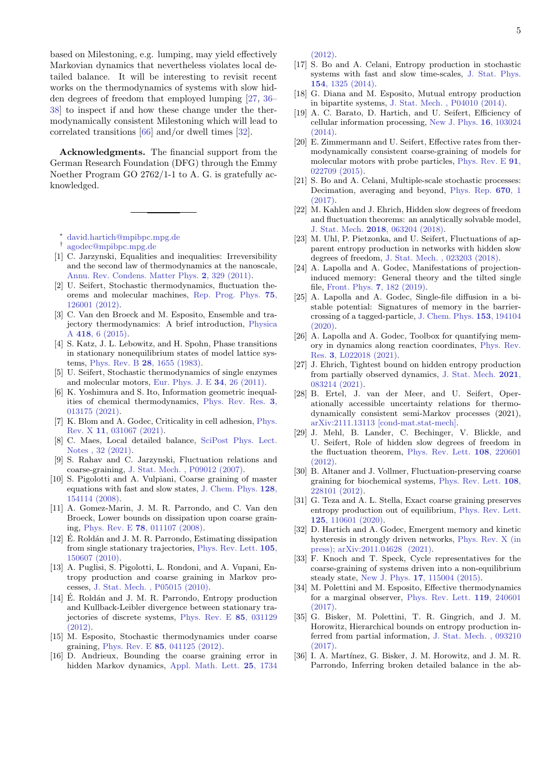based on Milestoning, e.g. lumping, may yield effectively Markovian dynamics that nevertheless violates local detailed balance. It will be interesting to revisit recent works on the thermodynamics of systems with slow hidden degrees of freedom that employed lumping [\[27,](#page-4-18) [36–](#page-4-19) [38\]](#page-5-0) to inspect if and how these change under the thermodynamically consistent Milestoning which will lead to correlated transitions [\[66\]](#page-5-24) and/or dwell times [\[32\]](#page-4-14).

Acknowledgments. The financial support from the German Research Foundation (DFG) through the Emmy Noether Program GO 2762/1-1 to A. G. is gratefully acknowledged.

<span id="page-4-0"></span><sup>∗</sup> [david.hartich@mpibpc.mpg.de](mailto:david.hartich@mpibpc.mpg.de)

- <span id="page-4-1"></span>† [agodec@mpibpc.mpg.de](mailto:agodec@mpibpc.mpg.de)
- <span id="page-4-2"></span>[1] C. Jarzynski, Equalities and inequalities: Irreversibility and the second law of thermodynamics at the nanoscale, [Annu. Rev. Condens. Matter Phys.](https://doi.org/10.1146/annurev-conmatphys-062910-140506) 2, 329 (2011).
- <span id="page-4-4"></span>[2] U. Seifert, Stochastic thermodynamics, fluctuation theorems and molecular machines, [Rep. Prog. Phys.](https://doi.org/10.1088/0034-4885/75/12/126001) 75, [126001 \(2012\).](https://doi.org/10.1088/0034-4885/75/12/126001)
- <span id="page-4-3"></span>[3] C. Van den Broeck and M. Esposito, Ensemble and trajectory thermodynamics: A brief introduction, [Physica](https://doi.org/http://dx.doi.org/10.1016/j.physa.2014.04.035) A 418[, 6 \(2015\).](https://doi.org/http://dx.doi.org/10.1016/j.physa.2014.04.035)
- <span id="page-4-20"></span>[4] S. Katz, J. L. Lebowitz, and H. Spohn, Phase transitions in stationary nonequilibrium states of model lattice systems, Phys. Rev. B 28[, 1655 \(1983\).](https://doi.org/10.1103/PhysRevB.28.1655)
- <span id="page-4-5"></span>[5] U. Seifert, Stochastic thermodynamics of single enzymes and molecular motors, [Eur. Phys. J. E](https://doi.org/10.1140/epje/i2011-11026-7) 34, 26 (2011).
- <span id="page-4-6"></span>[6] K. Yoshimura and S. Ito, Information geometric inequalities of chemical thermodynamics, [Phys. Rev. Res.](https://doi.org/10.1103/PhysRevResearch.3.013175) 3, [013175 \(2021\).](https://doi.org/10.1103/PhysRevResearch.3.013175)
- <span id="page-4-7"></span>[7] K. Blom and A. Godec, Criticality in cell adhesion, [Phys.](https://doi.org/10.1103/PhysRevX.11.031067) Rev. X 11[, 031067 \(2021\).](https://doi.org/10.1103/PhysRevX.11.031067)
- <span id="page-4-8"></span>[8] C. Maes, Local detailed balance, [SciPost Phys. Lect.](https://doi.org/10.21468/SciPostPhysLectNotes.32) [Notes , 32 \(2021\).](https://doi.org/10.21468/SciPostPhysLectNotes.32)
- <span id="page-4-9"></span>[9] S. Rahav and C. Jarzynski, Fluctuation relations and coarse-graining, [J. Stat. Mech. , P09012 \(2007\).](https://doi.org/10.1088/1742-5468/2007/09/P09012)
- <span id="page-4-21"></span>[10] S. Pigolotti and A. Vulpiani, Coarse graining of master equations with fast and slow states, [J. Chem. Phys.](https://doi.org/10.1063/1.2907242) 128, [154114 \(2008\).](https://doi.org/10.1063/1.2907242)
- [11] A. Gomez-Marin, J. M. R. Parrondo, and C. Van den Broeck, Lower bounds on dissipation upon coarse graining, Phys. Rev. E 78[, 011107 \(2008\).](https://doi.org/10.1103/PhysRevE.78.011107)
- <span id="page-4-22"></span>[12]  $\acute{E}$ . Roldán and J. M. R. Parrondo, Estimating dissipation from single stationary trajectories, [Phys. Rev. Lett.](https://doi.org/10.1103/PhysRevLett.105.150607) 105, [150607 \(2010\).](https://doi.org/10.1103/PhysRevLett.105.150607)
- <span id="page-4-12"></span>[13] A. Puglisi, S. Pigolotti, L. Rondoni, and A. Vupani, Entropy production and coarse graining in Markov processes, [J. Stat. Mech. , P05015 \(2010\).](https://doi.org/10.1088/1742-5468/2010/05/P05015)
- [14] É. Roldán and J. M. R. Parrondo, Entropy production and Kullback-Leibler divergence between stationary trajectories of discrete systems, [Phys. Rev. E](https://doi.org/10.1103/PhysRevE.85.031129) 85, 031129 [\(2012\).](https://doi.org/10.1103/PhysRevE.85.031129)
- <span id="page-4-25"></span>[15] M. Esposito, Stochastic thermodynamics under coarse graining, Phys. Rev. E 85[, 041125 \(2012\).](https://doi.org/10.1103/PhysRevE.85.041125)
- [16] D. Andrieux, Bounding the coarse graining error in hidden Markov dynamics, [Appl. Math. Lett.](https://doi.org/10.1016/j.aml.2012.02.002) 25, 1734

[\(2012\).](https://doi.org/10.1016/j.aml.2012.02.002)

- [17] S. Bo and A. Celani, Entropy production in stochastic systems with fast and slow time-scales, [J. Stat. Phys.](https://doi.org/10.1007/s10955-014-0922-1) 154[, 1325 \(2014\).](https://doi.org/10.1007/s10955-014-0922-1)
- <span id="page-4-26"></span>[18] G. Diana and M. Esposito, Mutual entropy production in bipartite systems, [J. Stat. Mech. , P04010 \(2014\).](https://doi.org/10.1088/1742-5468/2014/04/P04010)
- <span id="page-4-27"></span>[19] A. C. Barato, D. Hartich, and U. Seifert, Efficiency of cellular information processing, [New J. Phys.](https://doi.org/10.1088/1367-2630/16/10/103024) 16, 103024 [\(2014\).](https://doi.org/10.1088/1367-2630/16/10/103024)
- [20] E. Zimmermann and U. Seifert, Effective rates from thermodynamically consistent coarse-graining of models for molecular motors with probe particles, [Phys. Rev. E](https://doi.org/10.1103/PhysRevE.91.022709) 91, [022709 \(2015\).](https://doi.org/10.1103/PhysRevE.91.022709)
- <span id="page-4-28"></span>[21] S. Bo and A. Celani, Multiple-scale stochastic processes: Decimation, averaging and beyond, [Phys. Rep.](https://doi.org/https://doi.org/10.1016/j.physrep.2016.12.003) 670, 1  $(2017)$
- [22] M. Kahlen and J. Ehrich, Hidden slow degrees of freedom and fluctuation theorems: an analytically solvable model, J. Stat. Mech. 2018[, 063204 \(2018\).](https://doi.org/10.1088/1742-5468/aac2fd)
- <span id="page-4-23"></span>[23] M. Uhl, P. Pietzonka, and U. Seifert, Fluctuations of apparent entropy production in networks with hidden slow degrees of freedom, [J. Stat. Mech. , 023203 \(2018\).](https://doi.org/10.1088/1742-5468/aaa78b)
- [24] A. Lapolla and A. Godec, Manifestations of projectioninduced memory: General theory and the tilted single file, [Front. Phys.](https://doi.org/10.3389/fphy.2019.00182) 7, 182 (2019).
- [25] A. Lapolla and A. Godec, Single-file diffusion in a bistable potential: Signatures of memory in the barriercrossing of a tagged-particle, [J. Chem. Phys.](https://doi.org/10.1063/5.0025785) 153, 194104  $(2020)$ .
- [26] A. Lapolla and A. Godec, Toolbox for quantifying memory in dynamics along reaction coordinates, [Phys. Rev.](https://doi.org/10.1103/PhysRevResearch.3.L022018) Res. 3[, L022018 \(2021\).](https://doi.org/10.1103/PhysRevResearch.3.L022018)
- <span id="page-4-18"></span>[27] J. Ehrich, Tightest bound on hidden entropy production from partially observed dynamics, [J. Stat. Mech.](https://doi.org/10.1088/1742-5468/ac150e) 2021, [083214 \(2021\).](https://doi.org/10.1088/1742-5468/ac150e)
- <span id="page-4-10"></span>[28] B. Ertel, J. van der Meer, and U. Seifert, Operationally accessible uncertainty relations for thermodynamically consistent semi-Markov processes (2021), [arXiv:2111.13113 \[cond-mat.stat-mech\].](https://arxiv.org/abs/2111.13113)
- <span id="page-4-11"></span>[29] J. Mehl, B. Lander, C. Bechinger, V. Blickle, and U. Seifert, Role of hidden slow degrees of freedom in the fluctuation theorem, [Phys. Rev. Lett.](http://doi.org/10.1103/PhysRevLett.108.220601) 108, 220601 [\(2012\).](http://doi.org/10.1103/PhysRevLett.108.220601)
- <span id="page-4-13"></span>[30] B. Altaner and J. Vollmer, Fluctuation-preserving coarse graining for biochemical systems, [Phys. Rev. Lett.](https://doi.org/10.1103/PhysRevLett.108.228101) 108, [228101 \(2012\).](https://doi.org/10.1103/PhysRevLett.108.228101)
- <span id="page-4-24"></span>[31] G. Teza and A. L. Stella, Exact coarse graining preserves entropy production out of equilibrium, [Phys. Rev. Lett.](https://doi.org/10.1103/PhysRevLett.125.110601) 125[, 110601 \(2020\).](https://doi.org/10.1103/PhysRevLett.125.110601)
- <span id="page-4-14"></span>[32] D. Hartich and A. Godec, Emergent memory and kinetic hysteresis in strongly driven networks, [Phys. Rev. X \(in](https://arxiv.org/abs/2011.04628) [press\); arXiv:2011.04628 \(2021\).](https://arxiv.org/abs/2011.04628)
- <span id="page-4-15"></span>[33] F. Knoch and T. Speck, Cycle representatives for the coarse-graining of systems driven into a non-equilibrium steady state, New J. Phys. 17[, 115004 \(2015\).](https://doi.org/10.1088/1367-2630/17/11/115004)
- <span id="page-4-16"></span>[34] M. Polettini and M. Esposito, Effective thermodynamics for a marginal observer, [Phys. Rev. Lett.](https://doi.org/10.1103/PhysRevLett.119.240601) 119, 240601 [\(2017\).](https://doi.org/10.1103/PhysRevLett.119.240601)
- <span id="page-4-17"></span>[35] G. Bisker, M. Polettini, T. R. Gingrich, and J. M. Horowitz, Hierarchical bounds on entropy production inferred from partial information, [J. Stat. Mech. , 093210](https://doi.org/10.1088/1742-5468/aa8c0d) [\(2017\).](https://doi.org/10.1088/1742-5468/aa8c0d)
- <span id="page-4-19"></span>[36] I. A. Martínez, G. Bisker, J. M. Horowitz, and J. M. R. Parrondo, Inferring broken detailed balance in the ab-